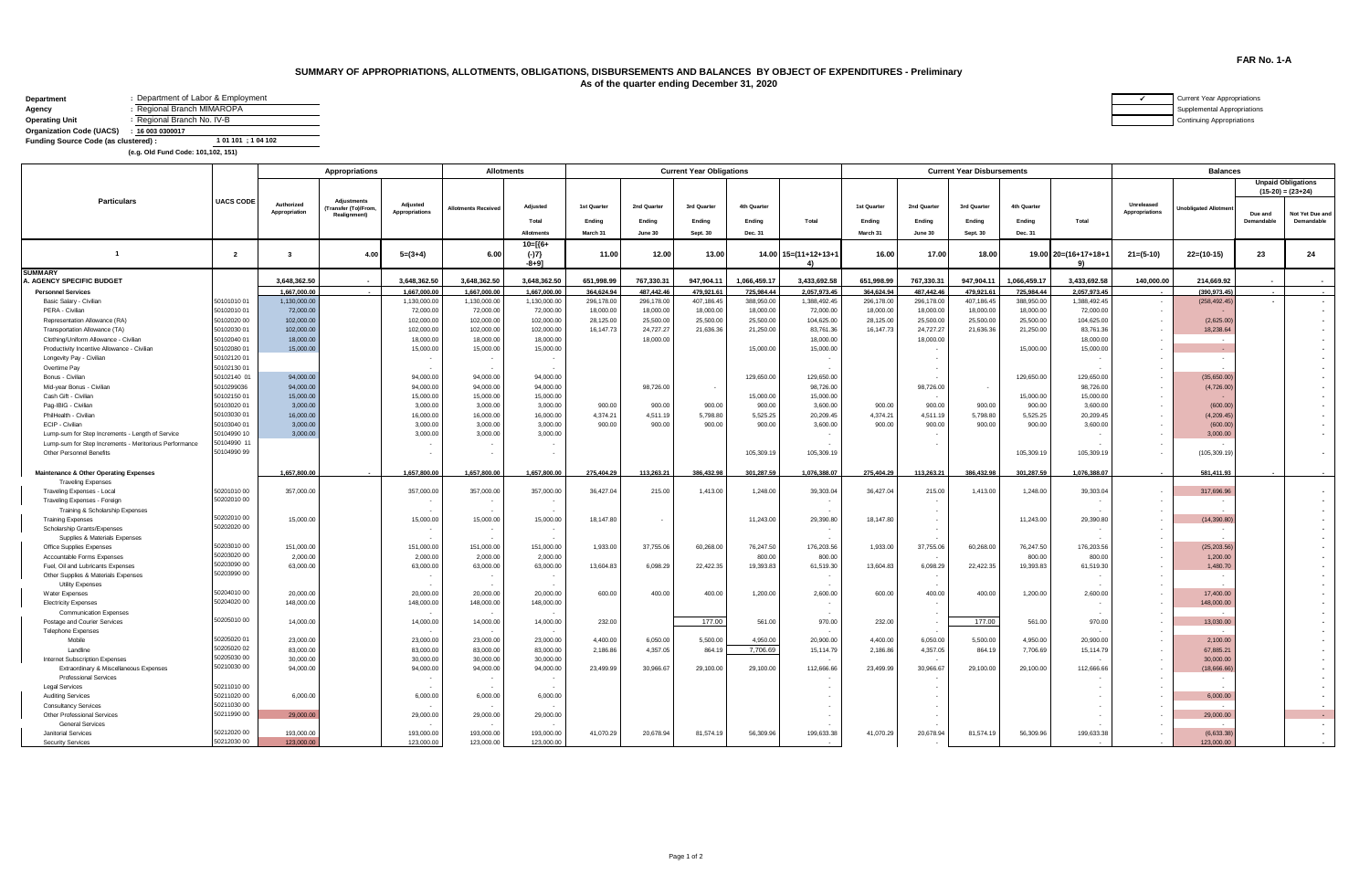## **SUMMARY OF APPROPRIATIONS, ALLOTMENTS, OBLIGATIONS, DISBURSEMENTS AND BALANCES BY OBJECT OF EXPENDITURES - Preliminary As of the quarter ending December 31, 2020**

| Department                           | : Department of Labor & Employment |
|--------------------------------------|------------------------------------|
|                                      | Regional Branch MIMAROPA           |
| <b>Operating Unit</b>                | Regional Branch No. IV-B           |
| <b>Organization Code (UACS)</b>      | : 160030300017                     |
| Funding Source Code (as clustered) : | 1 01 101 ; 1 04 102                |

**(e.g. Old Fund Code: 101,102, 151)** 

|                                                                 |                  | Appropriations              |                                                         |                            | <b>Allotments</b>        |                   |             |             | <b>Current Year Obligations</b> |              |                           |             |             | <b>Current Year Disbursements</b> |              | <b>Balances</b>      |                              |                              |            |                                                  |
|-----------------------------------------------------------------|------------------|-----------------------------|---------------------------------------------------------|----------------------------|--------------------------|-------------------|-------------|-------------|---------------------------------|--------------|---------------------------|-------------|-------------|-----------------------------------|--------------|----------------------|------------------------------|------------------------------|------------|--------------------------------------------------|
|                                                                 |                  |                             |                                                         |                            |                          |                   |             |             |                                 |              |                           |             |             |                                   |              |                      |                              |                              |            | <b>Unpaid Obligations</b><br>$(15-20) = (23+24)$ |
| <b>Particulars</b>                                              | <b>UACS CODE</b> | Authorized<br>Appropriation | <b>Adjustments</b><br>ransfer (To)/From<br>Realignment) | Adjusted<br>Appropriations | <b>Motments Received</b> | Adjusted          | 1st Quarter | 2nd Quarter | 3rd Quarter                     | 4th Quarter  |                           | 1st Quarter | 2nd Quarter | 3rd Quarter                       | 4th Quarter  |                      | Unreleased<br>Appropriations | <b>Unobligated Allotment</b> | Due and    | Not Yet Due and                                  |
|                                                                 |                  |                             |                                                         |                            |                          | Total             | Ending      | Ending      | Ending                          | Ending       | Total                     | Ending      | Ending      | Ending                            | Ending       | Total                |                              |                              | Demandable | Demandable                                       |
|                                                                 |                  |                             |                                                         |                            |                          | Allotment         | March 31    | June 30     | Sept. 30                        | Dec. 31      |                           | March 31    | June 30     | Sept. 30                          | Dec. 31      |                      |                              |                              |            |                                                  |
| $\overline{1}$                                                  | $\overline{2}$   | $\mathbf{3}$                | 4.00                                                    | $5=(3+4)$                  | 6.00                     | 10=[{6+<br>$(-)7$ | 11.00       | 12.00       | 13.00                           |              | $14.00$ $15=(11+12+13+1)$ | 16.00       | 17.00       | 18.00                             |              | 19.00 20=(16+17+18+1 | $21 = (5-10)$                | $22=(10-15)$                 | 23         | 24                                               |
|                                                                 |                  |                             |                                                         |                            |                          | $-8+9$ ]          |             |             |                                 |              | 4)                        |             |             |                                   |              | 9)                   |                              |                              |            |                                                  |
| <b>SUMMARY</b><br>A. AGENCY SPECIFIC BUDGET                     |                  | 3,648,362.50                |                                                         | 3,648,362.50               | 3,648,362.50             | 3,648,362.50      | 651,998.99  | 767,330.31  | 947,904.11                      | 1,066,459.17 | 3,433,692.58              | 651,998.99  | 767,330.31  | 947.904.11                        | 1,066,459.17 | 3,433,692.58         | 140,000.00                   | 214,669.92                   |            |                                                  |
| <b>Personnel Services</b>                                       |                  | 1.667.000.00                |                                                         | 1.667.000.00               | 1.667.000.00             | 1.667.000.00      | 364.624.94  | 487.442.46  | 479.921.61                      | 725,984.44   | 2,057,973.45              | 364.624.94  | 487.442.46  | 479.921.61                        | 725,984.44   | 2.057.973.45         |                              | (390.973.45)                 | $\sim$     | <b>Service</b>                                   |
| Basic Salary - Civilian                                         | 50101010 01      | 1,130,000.00                |                                                         | 1,130,000.00               | 1,130,000.00             | 1,130,000.00      | 296,178.00  | 296,178.00  | 407,186.45                      | 388,950.00   | 1,388,492.45              | 296,178.00  | 296,178.00  | 407,186.45                        | 388,950.00   | 1,388,492.45         | $\sim$                       | (258, 492.45)                | $\sim$     |                                                  |
| PERA - Civilian                                                 | 50102010 01      | 72,000.00                   |                                                         | 72,000.00                  | 72,000.00                | 72,000.00         | 18,000.00   | 18,000.00   | 18,000.00                       | 18,000.00    | 72,000.00                 | 18,000.00   | 18,000.00   | 18,000.00                         | 18,000.00    | 72,000.00            | $\sim$                       |                              |            |                                                  |
| Representation Allowance (RA)                                   | 50102020 00      | 102,000.00                  |                                                         | 102,000.00                 | 102,000.00               | 102,000.00        | 28,125.00   | 25,500.00   | 25,500.00                       | 25,500.00    | 104,625.00                | 28,125.00   | 25,500.00   | 25,500.00                         | 25,500.00    | 104,625.00           | $\sim$                       | (2,625.00)                   |            |                                                  |
| Transportation Allowance (TA)                                   | 50102030 01      | 102,000.00                  |                                                         | 102,000.00                 | 102,000.00               | 102,000.00        | 16, 147. 73 | 24,727.27   | 21,636.36                       | 21,250.00    | 83,761.36                 | 16, 147. 73 | 24,727.27   | 21,636.36                         | 21,250.00    | 83,761.36            | $\sim$                       | 18,238.64                    |            |                                                  |
| Clothing/Uniform Allowance - Civilian                           | 50102040 01      | 18,000,00                   |                                                         | 18,000.00                  | 18,000.00                | 18,000,00         |             | 18,000.00   |                                 |              | 18,000,00                 |             | 18,000.00   |                                   |              | 18,000.00            | $\sim$                       |                              |            |                                                  |
| Productivity Incentive Allowance - Civilian                     | 50102080 01      | 15,000.00                   |                                                         | 15,000.00                  | 15,000.00                | 15,000.00         |             |             |                                 | 15,000.00    | 15,000.00                 |             | $\sim$      |                                   | 15,000.00    | 15,000.00            | $\sim$                       | $\sim$                       |            |                                                  |
| Longevity Pay - Civilian                                        | 50102120 01      |                             |                                                         |                            |                          |                   |             |             |                                 |              |                           |             | $\sim$      |                                   |              |                      | $\sim$                       |                              |            |                                                  |
| Overtime Pay                                                    | 50102130 01      |                             |                                                         |                            |                          | ٠.                |             |             |                                 |              |                           |             |             |                                   |              |                      | $\sim$                       |                              |            |                                                  |
| Bonus - Civilian                                                | 50102140 01      | 94,000.00                   |                                                         | 94,000.00                  | 94,000.00                | 94,000.00         |             |             |                                 | 129,650.00   | 129,650.00                |             |             |                                   | 129,650.00   | 129,650.00           | $\sim$                       | (35,650.00)                  |            |                                                  |
| Mid-year Bonus - Civilian                                       | 5010299036       | 94,000.00                   |                                                         | 94,000.00                  | 94,000.00                | 94,000.00         |             | 98,726.00   | $\sim$                          |              | 98,726.00                 |             | 98,726.00   | $\sim$                            |              | 98,726.00            | $\sim$                       | (4,726.00)                   |            |                                                  |
| Cash Gift - Civilian                                            | 50102150 01      | 15,000.00                   |                                                         | 15,000.00                  | 15,000.00                | 15,000.00         |             |             |                                 | 15,000.00    | 15,000.00                 |             |             |                                   | 15,000.00    | 15,000.00            | $\sim$                       |                              |            |                                                  |
| Pag-IBIG - Civilian                                             | 50103020 01      | 3,000.00                    |                                                         | 3,000.00                   | 3,000.00                 | 3,000.00          | 900.00      | 900.00      | 900.00                          | 900.00       | 3,600.00                  | 900.00      | 900.00      | 900.00                            | 900.00       | 3,600.00             | $\sim$                       | (600.00)                     |            |                                                  |
| PhilHealth - Civilian                                           | 5010303001       | 16,000.00                   |                                                         | 16,000.00                  | 16,000.00                | 16,000.00         | 4.374.21    | 4,511.19    | 5,798.80                        | 5,525.25     | 20,209.45                 | 4.374.21    | 4.511.19    | 5,798.80                          | 5,525.25     | 20,209.45            | $\sim$                       | (4,209.45)                   |            |                                                  |
| ECIP - Civilian                                                 | 50103040 01      | 3,000.00                    |                                                         | 3,000.00                   | 3,000.00                 | 3,000.00          | 900.00      | 900.00      | 900.00                          | 900.00       | 3,600.00                  | 900.00      | 900.00      | 900.00                            | 900.00       | 3,600.00             | $\sim$                       | (600.00)                     |            |                                                  |
| Lump-sum for Step Increments - Length of Service                | 50104990 10      | 3,000.00                    |                                                         | 3,000.00                   | 3,000.00                 | 3,000.00          |             |             |                                 |              |                           |             |             |                                   |              |                      | $\sim$                       | 3,000.00                     |            |                                                  |
| Lump-sum for Step Increments - Meritorious Performance          | 50104990 11      |                             |                                                         |                            |                          |                   |             |             |                                 |              |                           |             |             |                                   |              |                      |                              |                              |            |                                                  |
| Other Personnel Benefits                                        | 5010499099       |                             |                                                         |                            |                          | $\sim$            |             |             |                                 | 105,309.19   | 105,309.19                |             |             |                                   | 105,309.19   | 105,309.19           | $\sim$                       | (105,309.19                  |            |                                                  |
| Maintenance & Other Operating Expenses                          |                  | 1.657.800.00                |                                                         | 1.657.800.00               | 1.657.800.00             | 1.657.800.00      | 275,404.29  | 113,263.21  | 386,432.98                      | 301.287.59   | 1.076.388.07              | 275,404.29  | 113,263.21  | 386.432.98                        | 301.287.59   | 1.076.388.07         | $\sim$                       | 581.411.93                   |            |                                                  |
| <b>Traveling Expenses</b>                                       | 50201010 00      | 357,000.00                  |                                                         | 357,000.00                 | 357,000.00               | 357,000.00        | 36,427.04   | 215.00      | 1,413.00                        | 1,248.00     | 39,303.04                 | 36,427.04   |             | 1,413.00                          | 1,248.00     | 39,303.04            |                              | 317,696.96                   |            |                                                  |
| Traveling Expenses - Local                                      | 50202010 00      |                             |                                                         |                            |                          |                   |             |             |                                 |              |                           |             | 215.00      |                                   |              |                      | $\sim$<br>$\sim$             |                              |            |                                                  |
| Traveling Expenses - Foreign<br>Training & Scholarship Expenses |                  |                             |                                                         |                            |                          |                   |             |             |                                 |              |                           |             | $\sim$      |                                   |              |                      | $\sim$                       |                              |            |                                                  |
|                                                                 | 50202010 00      | 15,000.00                   |                                                         | 15,000.00                  | 15,000.00                | 15,000.00         | 18,147.80   | $\sim$      |                                 | 11,243.00    | 29,390.80                 | 18,147.80   | $\sim$      |                                   | 11,243.00    | 29,390.80            | $\sim$                       | (14, 390.80)                 |            |                                                  |
| <b>Training Expenses</b><br>Scholarship Grants/Expenses         | 50202020 00      |                             |                                                         |                            |                          |                   |             |             |                                 |              |                           |             |             |                                   |              |                      | $\sim$                       |                              |            |                                                  |
| Supplies & Materials Expenses                                   |                  |                             |                                                         |                            |                          |                   |             |             |                                 |              |                           |             |             |                                   |              |                      | $\sim$                       |                              |            |                                                  |
| Office Supplies Expenses                                        | 50203010 00      | 151,000.00                  |                                                         | 151.000.00                 | 151,000.00               | 151,000.00        | 1.933.00    | 37,755.06   | 60,268.00                       | 76,247.50    | 176,203.56                | 1,933.00    | 37,755.06   | 60,268.00                         | 76,247.50    | 176.203.56           | $\sim$                       | (25, 203.56)                 |            |                                                  |
| Accountable Forms Expenses                                      | 50203020 00      | 2,000.00                    |                                                         | 2,000.00                   | 2,000.00                 | 2,000.00          |             |             |                                 | 800.00       | 800.00                    |             |             |                                   | 800.00       | 800.00               | $\sim$                       | 1,200.00                     |            |                                                  |
| Fuel, Oil and Lubricants Expenses                               | 50203090 00      | 63,000.00                   |                                                         | 63,000.00                  | 63,000.00                | 63,000.00         | 13,604.83   | 6,098.29    | 22,422.35                       | 19,393.83    | 61,519.30                 | 13,604.83   | 6,098.29    | 22,422.35                         | 19,393.83    | 61,519.30            | $\sim$                       | 1,480.70                     |            |                                                  |
| Other Supplies & Materials Expenses                             | 50203990 00      |                             |                                                         |                            |                          | $\sim$            |             |             |                                 |              |                           |             |             |                                   |              |                      | $\sim$                       |                              |            |                                                  |
| Utility Expenses                                                |                  |                             |                                                         |                            |                          | $\sim$            |             |             |                                 |              |                           |             |             |                                   |              |                      | $\sim$                       |                              |            |                                                  |
| Water Expenses                                                  | 50204010 00      | 20,000.00                   |                                                         | 20,000.00                  | 20,000.00                | 20,000.00         | 600.00      | 400.00      | 400.00                          | 1,200.00     | 2,600.00                  | 600.00      | 400.00      | 400.00                            | 1,200.00     | 2,600.00             | $\sim$                       | 17,400.00                    |            |                                                  |
| <b>Electricity Expenses</b>                                     | 50204020 00      | 148,000.00                  |                                                         | 148,000.00                 | 148,000.00               | 148,000.00        |             |             |                                 |              |                           |             |             |                                   |              |                      | $\sim$                       | 148,000.00                   |            |                                                  |
| <b>Communication Expenses</b>                                   |                  |                             |                                                         |                            |                          |                   |             |             |                                 |              |                           |             |             |                                   |              |                      | $\sim$                       |                              |            |                                                  |
| Postage and Courier Services                                    | 50205010 00      | 14,000.00                   |                                                         | 14,000.00                  | 14,000.00                | 14,000.00         | 232.00      |             | 177.00                          | 561.00       | 970.00                    | 232.00      |             | 177.00                            | 561.00       | 970.00               | $\sim$                       | 13,030.00                    |            |                                                  |
| <b>Telephone Expenses</b>                                       |                  |                             |                                                         |                            |                          |                   |             |             |                                 |              |                           |             |             |                                   |              |                      | $\sim$                       | - 1                          |            |                                                  |
| Mobile                                                          | 50205020 01      | 23,000.00                   |                                                         | 23,000.00                  | 23,000.00                | 23,000.00         | 4,400.00    | 6,050.00    | 5,500.00                        | 4.950.00     | 20,900.00                 | 4,400.00    | 6,050.00    | 5,500.00                          | 4,950.00     | 20,900.00            | $\sim$                       | 2,100.00                     |            |                                                  |
| Landline                                                        | 50205020 02      | 83,000.00                   |                                                         | 83,000.00                  | 83,000.00                | 83,000.00         | 2.186.86    | 4,357.05    | 864.19                          | 7,706.69     | 15,114.79                 | 2,186.86    | 4,357.05    | 864.19                            | 7,706.69     | 15,114.79            | $\sim$                       | 67,885.21                    |            |                                                  |
| Internet Subscription Expenses                                  | 50205030 00      | 30,000.00                   |                                                         | 30,000.00                  | 30,000.00                | 30,000.00         |             |             |                                 |              |                           |             |             |                                   |              |                      | $\sim$                       | 30,000.00                    |            |                                                  |
| Extraordinary & Miscellaneous Expenses                          | 50210030 00      | 94,000.00                   |                                                         | 94,000.00                  | 94,000.00                | 94,000.00         | 23,499.99   | 30,966.67   | 29,100.00                       | 29,100.00    | 112,666.66                | 23,499.99   | 30,966.67   | 29,100.00                         | 29,100.00    | 112,666.66           | $\sim$                       | (18,666.66)                  |            |                                                  |
| <b>Professional Services</b>                                    |                  |                             |                                                         |                            |                          | $\sim$            |             |             |                                 |              |                           |             |             |                                   |              |                      | $\sim$                       | ٠.                           |            |                                                  |
| <b>Legal Services</b>                                           | 5021101000       |                             |                                                         |                            |                          | $\sim$            |             |             |                                 |              |                           |             | $\sim$      |                                   |              |                      | $\sim$                       |                              |            |                                                  |
| <b>Auditing Services</b>                                        | 50211020 00      | 6,000.00                    |                                                         | 6,000.00                   | 6,000.00                 | 6,000.00          |             |             |                                 |              |                           |             |             |                                   |              |                      | $\sim$                       | 6,000.00                     |            |                                                  |
| <b>Consultancy Services</b>                                     | 50211030 00      |                             |                                                         |                            |                          |                   |             |             |                                 |              |                           |             |             |                                   |              |                      | $\sim$                       |                              |            |                                                  |
| Other Professional Services                                     | 50211990 00      | 29,000.0                    |                                                         | 29,000.00                  | 29,000.00                | 29,000.00         |             |             |                                 |              |                           |             |             |                                   |              |                      | $\sim$                       | 29,000.00                    |            |                                                  |
| <b>General Services</b>                                         |                  |                             |                                                         |                            |                          |                   |             |             |                                 |              |                           |             |             |                                   |              |                      | $\sim$                       |                              |            | $\sim$                                           |
| Janitorial Services                                             | 50212020 00      | 193,000.00                  |                                                         | 193,000.00                 | 193,000.00               | 193,000.00        | 41,070.29   | 20,678.94   | 81,574.19                       | 56,309.96    | 199,633.38                | 41,070.29   | 20,678.94   | 81,574.19                         | 56,309.96    | 199,633.38           | $\sim$                       | (6,633.38)                   |            |                                                  |
| <b>Security Services</b>                                        | 50212030 00      | 123,000.00                  |                                                         | 123,000.00                 | 123,000.00               | 123,000.00        |             |             |                                 |              |                           |             |             |                                   |              |                      |                              | 123,000.00                   |            |                                                  |